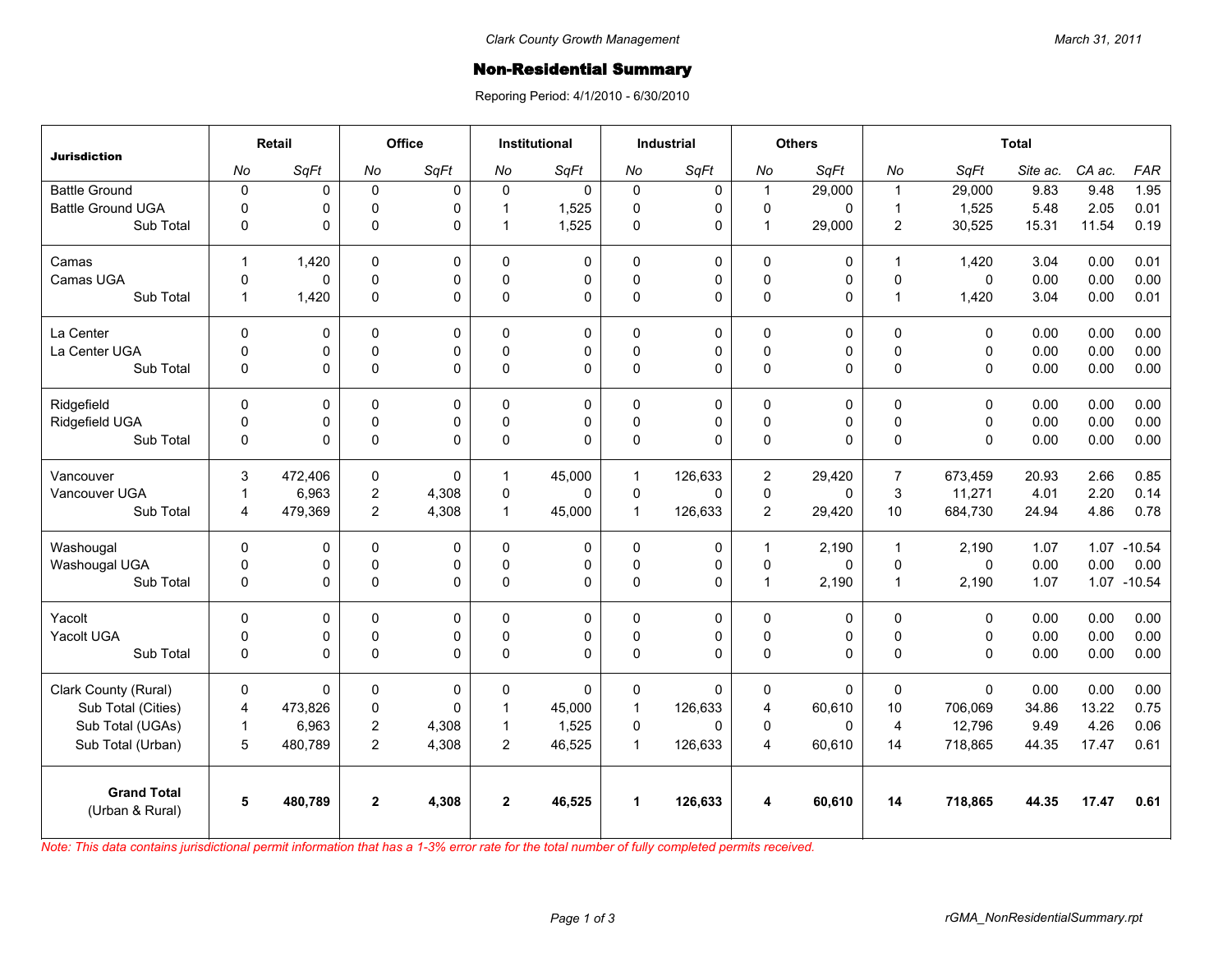## **Non-Residential Summary**

Reporing Period: 4/1/2010 - 6/30/2010

| <b>Jurisdiction</b>                   | Retail         |         | <b>Office</b>  |              | <b>Institutional</b> |             | <b>Industrial</b>    |              | <b>Others</b>           |             | <b>Total</b>   |              |          |        |             |
|---------------------------------------|----------------|---------|----------------|--------------|----------------------|-------------|----------------------|--------------|-------------------------|-------------|----------------|--------------|----------|--------|-------------|
|                                       | No             | SqFt    | No             | SqFt         | No                   | SqFt        | No                   | SqFt         | No                      | SqFt        | No             | SqFt         | Site ac. | CA ac. | <b>FAR</b>  |
| <b>Battle Ground</b>                  | $\pmb{0}$      | 0       | $\mathbf 0$    | $\Omega$     | $\Omega$             | $\mathbf 0$ | $\mathbf 0$          | 0            | $\mathbf{1}$            | 29,000      | $\mathbf{1}$   | 29,000       | 9.83     | 9.48   | 1.95        |
| <b>Battle Ground UGA</b>              | $\mathbf 0$    | 0       | $\mathbf 0$    | $\Omega$     | $\mathbf 1$          | 1,525       | $\mathbf 0$          | 0            | $\mathbf 0$             | 0           | $\mathbf{1}$   | 1,525        | 5.48     | 2.05   | 0.01        |
| Sub Total                             | 0              | 0       | $\mathbf 0$    | $\Omega$     | 1                    | 1,525       | $\pmb{0}$            | 0            | $\mathbf{1}$            | 29,000      | 2              | 30,525       | 15.31    | 11.54  | 0.19        |
| Camas                                 | $\mathbf{1}$   | 1,420   | 0              | $\Omega$     | $\Omega$             | $\Omega$    | $\Omega$             | $\mathbf 0$  | $\Omega$                | 0           | $\mathbf{1}$   | 1,420        | 3.04     | 0.00   | 0.01        |
| Camas UGA                             | $\mathbf 0$    | 0       | $\mathsf 0$    | $\Omega$     | $\Omega$             | 0           | $\pmb{0}$            | 0            | $\mathbf 0$             | 0           | $\pmb{0}$      | $\mathbf 0$  | 0.00     | 0.00   | 0.00        |
| Sub Total                             | $\mathbf{1}$   | 1,420   | $\mathbf 0$    | $\Omega$     | $\Omega$             | $\Omega$    | $\Omega$             | $\Omega$     | $\pmb{0}$               | 0           | $\overline{1}$ | 1,420        | 3.04     | 0.00   | 0.01        |
| La Center                             | $\mathbf 0$    | 0       | $\mathbf 0$    | 0            | $\Omega$             | 0           | $\mathbf 0$          | 0            | $\mathbf 0$             | 0           | $\mathbf 0$    | $\mathbf 0$  | 0.00     | 0.00   | 0.00        |
| La Center UGA                         | 0              | 0       | $\mathbf 0$    | $\mathbf 0$  | $\Omega$             | 0           | $\mathbf 0$          | $\mathbf 0$  | $\mathbf 0$             | 0           | $\pmb{0}$      | $\mathbf 0$  | 0.00     | 0.00   | 0.00        |
| Sub Total                             | $\mathbf 0$    | 0       | $\pmb{0}$      | $\Omega$     | $\Omega$             | $\Omega$    | $\pmb{0}$            | $\Omega$     | $\mathbf 0$             | 0           | $\mathbf{0}$   | $\mathbf{0}$ | 0.00     | 0.00   | 0.00        |
| Ridgefield                            | $\Omega$       | 0       | 0              | $\Omega$     | 0                    | 0           | $\Omega$             | $\mathbf 0$  | 0                       | 0           | $\Omega$       | $\mathbf{0}$ | 0.00     | 0.00   | 0.00        |
| Ridgefield UGA                        | 0              | 0       | 0              | 0            | $\mathbf 0$          | 0           | $\mathsf 0$          | $\mathsf 0$  | $\mathsf 0$             | 0           | $\pmb{0}$      | $\mathbf 0$  | 0.00     | 0.00   | 0.00        |
| Sub Total                             | $\mathbf 0$    | 0       | $\Omega$       | $\Omega$     | $\mathbf{0}$         | 0           | $\Omega$             | $\Omega$     | $\pmb{0}$               | 0           | $\Omega$       | $\mathbf{0}$ | 0.00     | 0.00   | 0.00        |
| Vancouver                             | 3              | 472,406 | $\mathbf 0$    | $\mathbf{0}$ | $\mathbf{1}$         | 45,000      | $\mathbf{1}$         | 126,633      | $\overline{2}$          | 29.420      | $\overline{7}$ | 673.459      | 20.93    | 2.66   | 0.85        |
| Vancouver UGA                         | $\mathbf{1}$   | 6,963   | $\overline{c}$ | 4,308        | 0                    | 0           | $\mathbf 0$          | $\Omega$     | $\mathbf 0$             | 0           | $\mathbf{3}$   | 11,271       | 4.01     | 2.20   | 0.14        |
| Sub Total                             | 4              | 479,369 | $\overline{2}$ | 4,308        | $\mathbf{1}$         | 45,000      | $\mathbf{1}$         | 126,633      | $\overline{c}$          | 29,420      | 10             | 684,730      | 24.94    | 4.86   | 0.78        |
| Washougal                             | $\mathbf{0}$   | 0       | 0              | 0            | 0                    | 0           | $\mathsf 0$          | $\mathbf 0$  | 1                       | 2,190       | $\overline{1}$ | 2,190        | 1.07     |        | 1.07 -10.54 |
| Washougal UGA                         | 0              | 0       | $\pmb{0}$      | 0            | $\mathbf{0}$         | 0           | $\mathbf 0$          | 0            | $\mathbf 0$             | $\mathbf 0$ | $\mathbf 0$    | $\mathbf{0}$ | 0.00     | 0.00   | 0.00        |
| Sub Total                             | 0              | 0       | $\pmb{0}$      | $\Omega$     | 0                    | $\Omega$    | $\pmb{0}$            | $\Omega$     | $\mathbf{1}$            | 2,190       | $\overline{1}$ | 2,190        | 1.07     |        | 1.07 -10.54 |
| Yacolt                                | $\Omega$       | 0       | 0              | $\Omega$     | $\Omega$             | 0           | $\Omega$             | 0            | $\mathbf 0$             | 0           | $\Omega$       | $\mathbf{0}$ | 0.00     | 0.00   | 0.00        |
| Yacolt UGA                            | 0              | 0       | 0              | 0            | $\Omega$             | 0           | 0                    | 0            | $\mathsf 0$             | 0           | $\pmb{0}$      | $\mathsf 0$  | 0.00     | 0.00   | 0.00        |
| Sub Total                             | $\mathbf 0$    | 0       | $\Omega$       | $\Omega$     | $\Omega$             | $\Omega$    | $\Omega$             | $\mathbf{0}$ | $\pmb{0}$               | 0           | $\Omega$       | $\Omega$     | 0.00     | 0.00   | 0.00        |
| Clark County (Rural)                  | $\mathbf 0$    | 0       | 0              | 0            | 0                    | $\Omega$    | 0                    | $\mathbf 0$  | 0                       | 0           | $\mathbf 0$    | $\mathbf{0}$ | 0.00     | 0.00   | 0.00        |
| Sub Total (Cities)                    | $\overline{4}$ | 473,826 | 0              | $\Omega$     | 1                    | 45,000      | $\mathbf{1}$         | 126,633      | $\overline{\mathbf{4}}$ | 60,610      | 10             | 706,069      | 34.86    | 13.22  | 0.75        |
| Sub Total (UGAs)                      | $\mathbf{1}$   | 6,963   | $\overline{c}$ | 4,308        | $\mathbf{1}$         | 1,525       | 0                    | $\Omega$     | 0                       | 0           | $\overline{4}$ | 12,796       | 9.49     | 4.26   | 0.06        |
| Sub Total (Urban)                     | 5              | 480,789 | $\overline{2}$ | 4,308        | $\overline{2}$       | 46,525      | $\mathbf{1}$         | 126,633      | $\overline{4}$          | 60,610      | 14             | 718,865      | 44.35    | 17.47  | 0.61        |
| <b>Grand Total</b><br>(Urban & Rural) | 5              | 480,789 | $\overline{2}$ | 4,308        | $\overline{2}$       | 46,525      | $\blacktriangleleft$ | 126,633      | 4                       | 60,610      | 14             | 718,865      | 44.35    | 17.47  | 0.61        |
|                                       |                |         |                |              |                      |             |                      |              |                         |             |                |              |          |        |             |

*Note: This data contains jurisdictional permit information that has a 1-3% error rate for the total number of fully completed permits received.*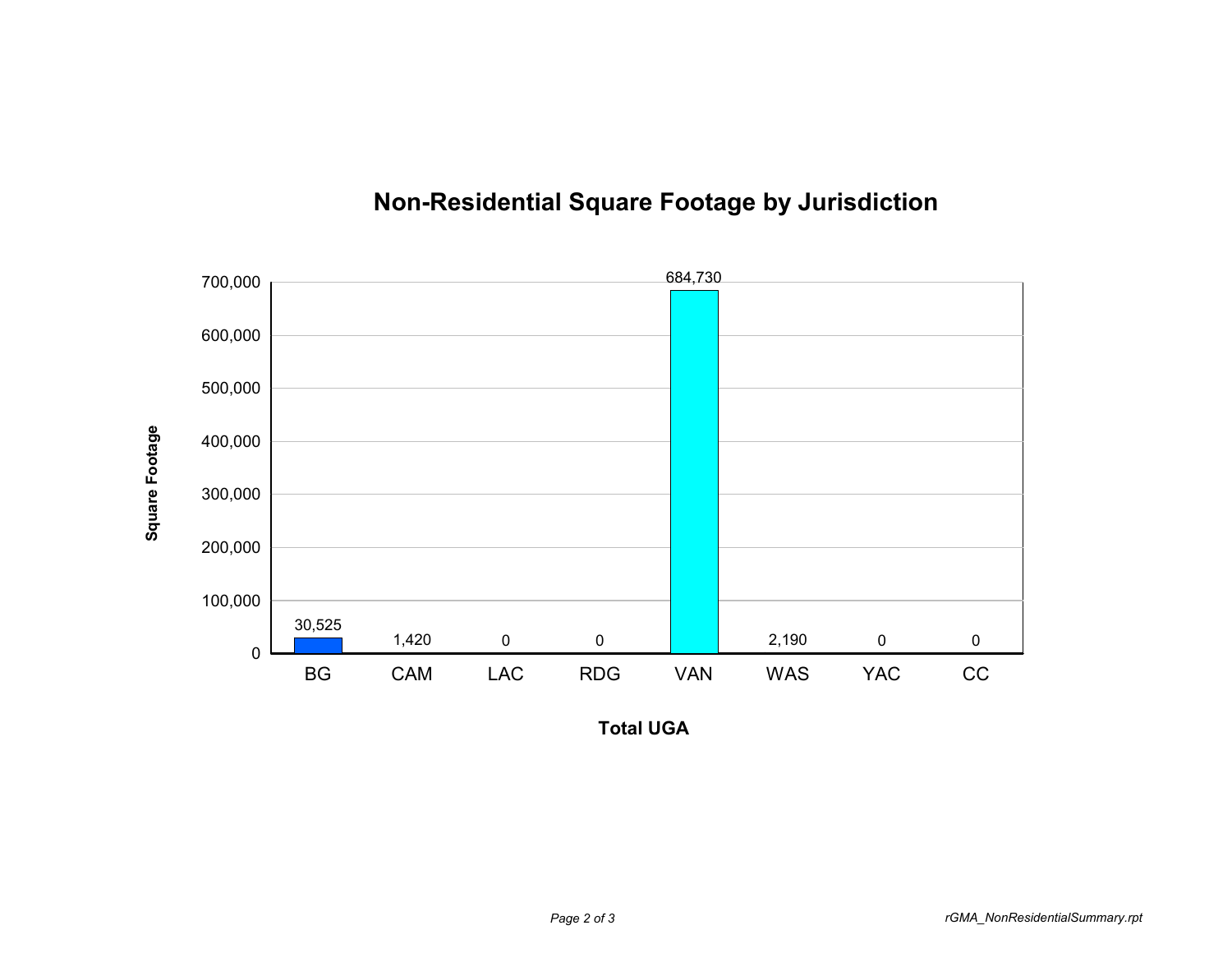

## **Non-Residential Square Footage by Jurisdiction**

**Total UGA**